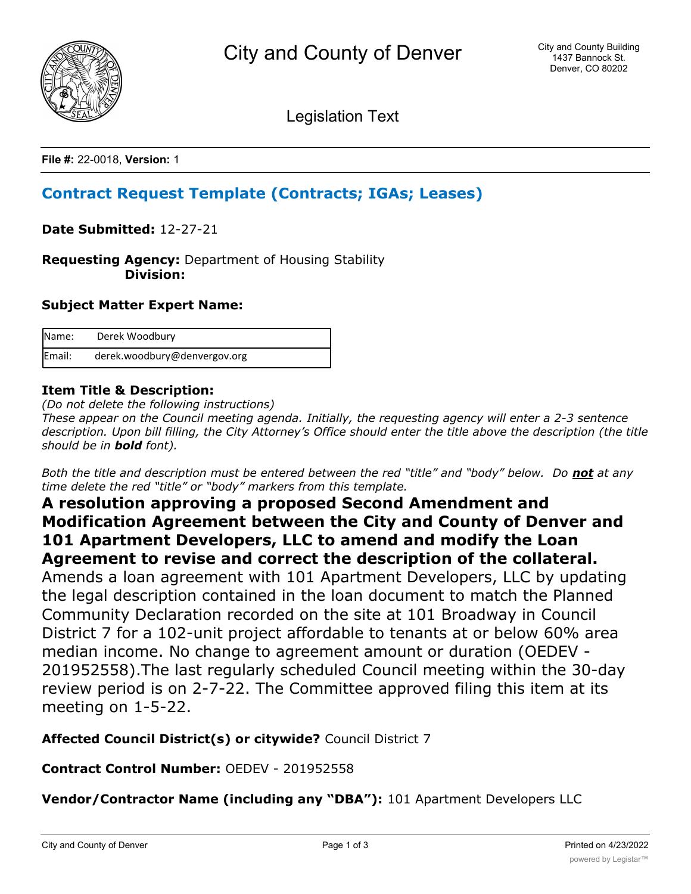

Legislation Text

**File #:** 22-0018, **Version:** 1

# **Contract Request Template (Contracts; IGAs; Leases)**

**Date Submitted:** 12-27-21

**Requesting Agency:** Department of Housing Stability  **Division:**

## **Subject Matter Expert Name:**

| Name:  | Derek Woodbury               |
|--------|------------------------------|
| Email: | derek.woodbury@denvergov.org |

## **Item Title & Description:**

*(Do not delete the following instructions)*

*These appear on the Council meeting agenda. Initially, the requesting agency will enter a 2-3 sentence description. Upon bill filling, the City Attorney's Office should enter the title above the description (the title should be in bold font).*

*Both the title and description must be entered between the red "title" and "body" below. Do not at any time delete the red "title" or "body" markers from this template.*

## **A resolution approving a proposed Second Amendment and Modification Agreement between the City and County of Denver and 101 Apartment Developers, LLC to amend and modify the Loan Agreement to revise and correct the description of the collateral.**

Amends a loan agreement with 101 Apartment Developers, LLC by updating the legal description contained in the loan document to match the Planned Community Declaration recorded on the site at 101 Broadway in Council District 7 for a 102-unit project affordable to tenants at or below 60% area median income. No change to agreement amount or duration (OEDEV - 201952558).The last regularly scheduled Council meeting within the 30-day review period is on 2-7-22. The Committee approved filing this item at its meeting on 1-5-22.

**Affected Council District(s) or citywide?** Council District 7

**Contract Control Number:** OEDEV - 201952558

**Vendor/Contractor Name (including any "DBA"):** 101 Apartment Developers LLC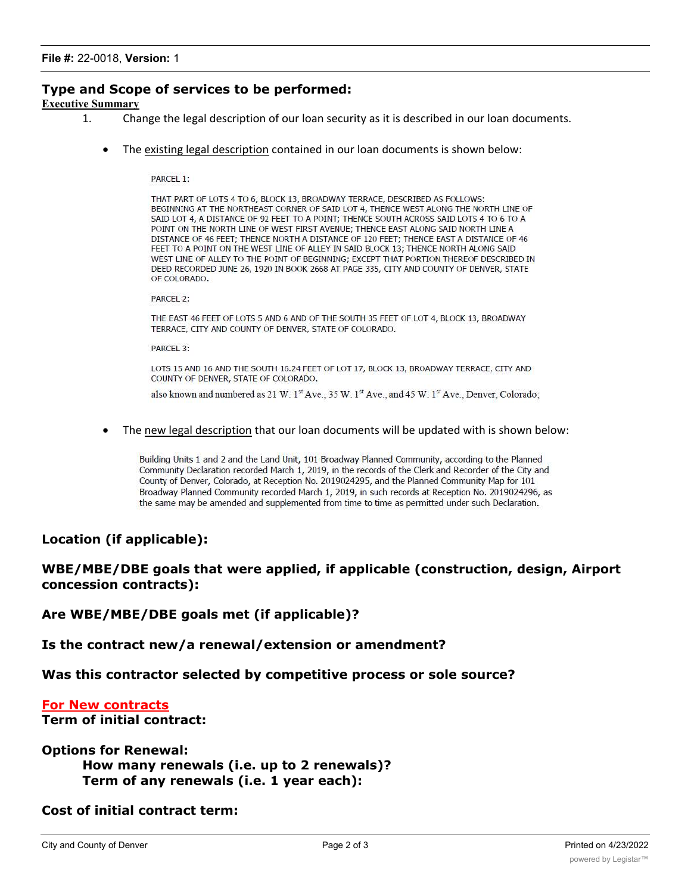## **Type and Scope of services to be performed:**

**Executive Summary**

- 1. Change the legal description of our loan security as it is described in our loan documents.
	- The existing legal description contained in our loan documents is shown below:

PARCEL 1:

THAT PART OF LOTS 4 TO 6, BLOCK 13, BROADWAY TERRACE, DESCRIBED AS FOLLOWS: BEGINNING AT THE NORTHEAST CORNER OF SAID LOT 4, THENCE WEST ALONG THE NORTH LINE OF SAID LOT 4, A DISTANCE OF 92 FEET TO A POINT; THENCE SOUTH ACROSS SAID LOTS 4 TO 6 TO A POINT ON THE NORTH LINE OF WEST FIRST AVENUE; THENCE EAST ALONG SAID NORTH LINE A DISTANCE OF 46 FEET; THENCE NORTH A DISTANCE OF 120 FEET; THENCE EAST A DISTANCE OF 46 FEET TO A POINT ON THE WEST LINE OF ALLEY IN SAID BLOCK 13; THENCE NORTH ALONG SAID WEST LINE OF ALLEY TO THE POINT OF BEGINNING; EXCEPT THAT PORTION THEREOF DESCRIBED IN DEED RECORDED JUNE 26, 1920 IN BOOK 2668 AT PAGE 335, CITY AND COUNTY OF DENVER, STATE OF COLORADO.

PARCEL 2:

THE EAST 46 FEET OF LOTS 5 AND 6 AND OF THE SOUTH 35 FEET OF LOT 4, BLOCK 13, BROADWAY TERRACE, CITY AND COUNTY OF DENVER, STATE OF COLORADO.

PARCEL 3:

LOTS 15 AND 16 AND THE SOUTH 16.24 FEET OF LOT 17, BLOCK 13, BROADWAY TERRACE, CITY AND COUNTY OF DENVER, STATE OF COLORADO.

also known and numbered as 21 W. 1<sup>st</sup> Ave., 35 W. 1<sup>st</sup> Ave., and 45 W. 1<sup>st</sup> Ave., Denver, Colorado;

· The new legal description that our loan documents will be updated with is shown below:

Building Units 1 and 2 and the Land Unit, 101 Broadway Planned Community, according to the Planned Community Declaration recorded March 1, 2019, in the records of the Clerk and Recorder of the City and County of Denver, Colorado, at Reception No. 2019024295, and the Planned Community Map for 101 Broadway Planned Community recorded March 1, 2019, in such records at Reception No. 2019024296, as the same may be amended and supplemented from time to time as permitted under such Declaration.

#### **Location (if applicable):**

## **WBE/MBE/DBE goals that were applied, if applicable (construction, design, Airport concession contracts):**

**Are WBE/MBE/DBE goals met (if applicable)?**

**Is the contract new/a renewal/extension or amendment?**

**Was this contractor selected by competitive process or sole source?**

#### **For New contracts**

**Term of initial contract:**

**Options for Renewal:**

```
How many renewals (i.e. up to 2 renewals)?
Term of any renewals (i.e. 1 year each):
```
**Cost of initial contract term:**